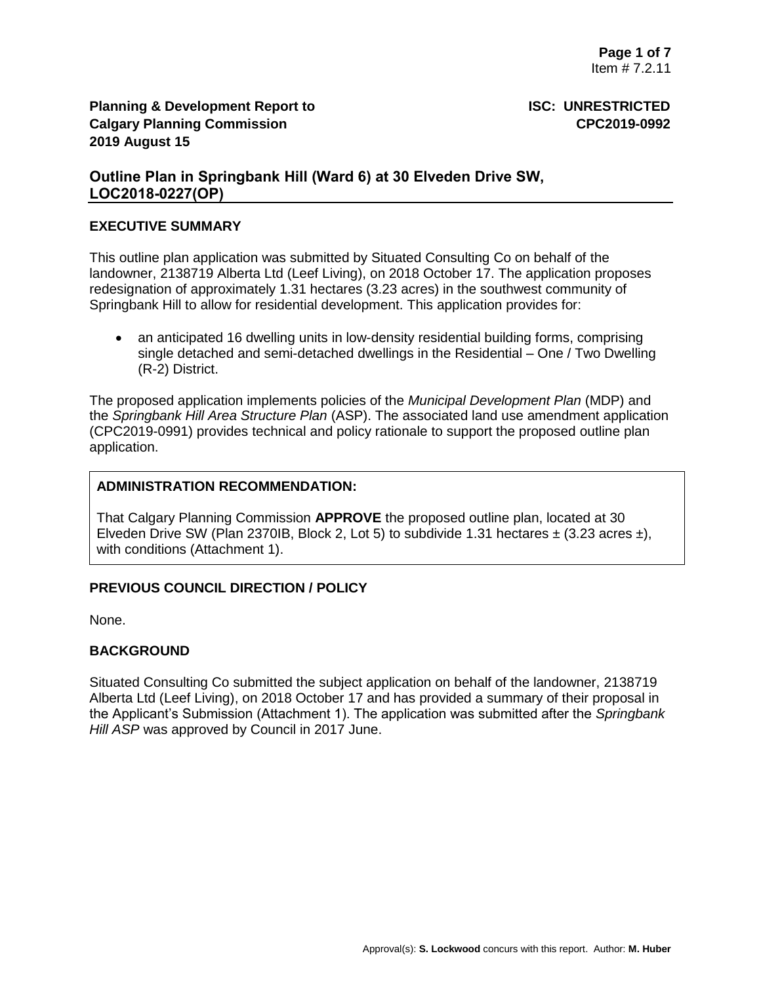# **Outline Plan in Springbank Hill (Ward 6) at 30 Elveden Drive SW, LOC2018-0227(OP)**

### **EXECUTIVE SUMMARY**

This outline plan application was submitted by Situated Consulting Co on behalf of the landowner, 2138719 Alberta Ltd (Leef Living), on 2018 October 17. The application proposes redesignation of approximately 1.31 hectares (3.23 acres) in the southwest community of Springbank Hill to allow for residential development. This application provides for:

• an anticipated 16 dwelling units in low-density residential building forms, comprising single detached and semi-detached dwellings in the Residential – One / Two Dwelling (R-2) District.

The proposed application implements policies of the *Municipal Development Plan* (MDP) and the *Springbank Hill Area Structure Plan* (ASP). The associated land use amendment application (CPC2019-0991) provides technical and policy rationale to support the proposed outline plan application.

# **ADMINISTRATION RECOMMENDATION:**

That Calgary Planning Commission **APPROVE** the proposed outline plan, located at 30 Elveden Drive SW (Plan 2370IB, Block 2, Lot 5) to subdivide 1.31 hectares  $\pm$  (3.23 acres  $\pm$ ), with conditions (Attachment 1).

# **PREVIOUS COUNCIL DIRECTION / POLICY**

None.

# **BACKGROUND**

Situated Consulting Co submitted the subject application on behalf of the landowner, 2138719 Alberta Ltd (Leef Living), on 2018 October 17 and has provided a summary of their proposal in the Applicant's Submission (Attachment 1). The application was submitted after the *Springbank Hill ASP* was approved by Council in 2017 June.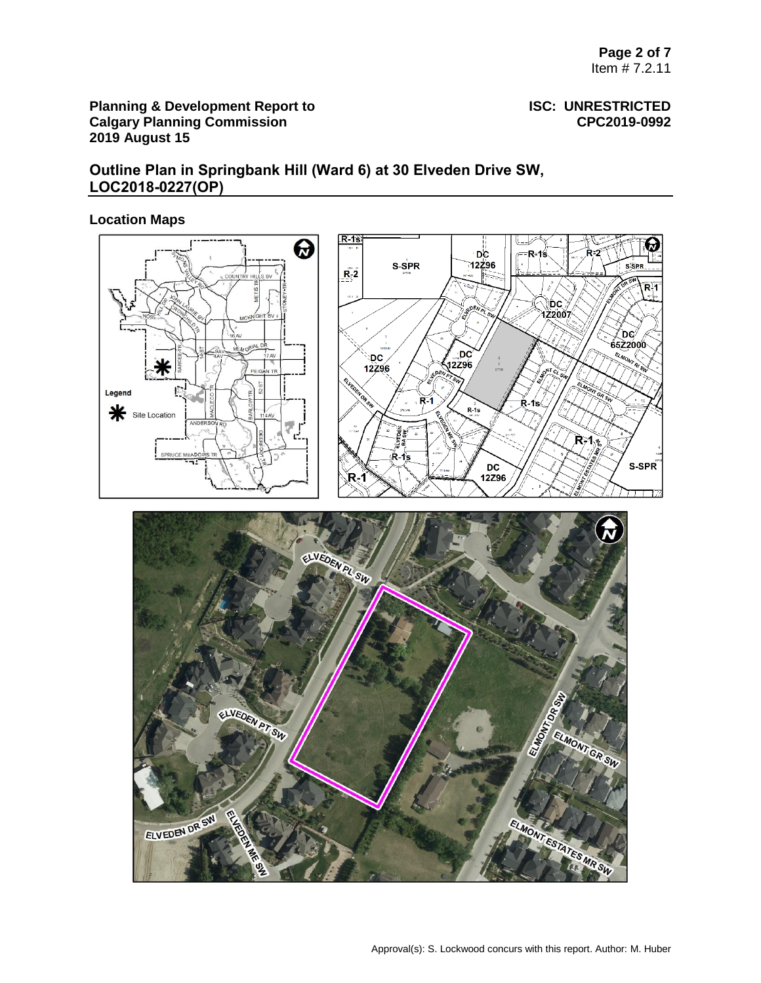# **Outline Plan in Springbank Hill (Ward 6) at 30 Elveden Drive SW, LOC2018-0227(OP)**

# **Location Maps**

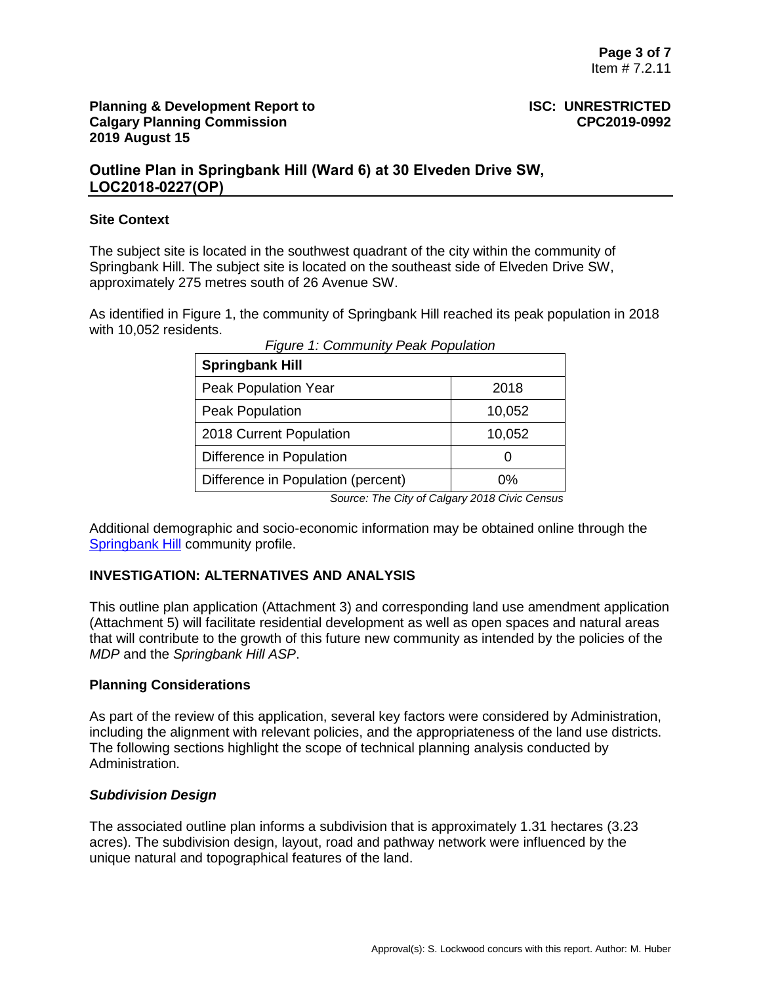**Outline Plan in Springbank Hill (Ward 6) at 30 Elveden Drive SW, LOC2018-0227(OP)**

### **Site Context**

The subject site is located in the southwest quadrant of the city within the community of Springbank Hill. The subject site is located on the southeast side of Elveden Drive SW, approximately 275 metres south of 26 Avenue SW.

As identified in Figure 1, the community of Springbank Hill reached its peak population in 2018 with 10,052 residents.

| 2018                                 |
|--------------------------------------|
| 10,052                               |
| 10,052                               |
|                                      |
| 0%                                   |
| rigaro r. Community r can reparation |

*Figure 1: Community Peak Population*

 *Source: The City of Calgary 2018 Civic Census*

Additional demographic and socio-economic information may be obtained online through the [Springbank Hill](http://www.calgary.ca/CSPS/CNS/Pages/Social-research-policy-and-resources/Community-profiles/Springbank-Hill-Profile.aspx) community profile.

# **INVESTIGATION: ALTERNATIVES AND ANALYSIS**

This outline plan application (Attachment 3) and corresponding land use amendment application (Attachment 5) will facilitate residential development as well as open spaces and natural areas that will contribute to the growth of this future new community as intended by the policies of the *MDP* and the *Springbank Hill ASP*.

### **Planning Considerations**

As part of the review of this application, several key factors were considered by Administration, including the alignment with relevant policies, and the appropriateness of the land use districts. The following sections highlight the scope of technical planning analysis conducted by Administration.

### *Subdivision Design*

The associated outline plan informs a subdivision that is approximately 1.31 hectares (3.23 acres). The subdivision design, layout, road and pathway network were influenced by the unique natural and topographical features of the land.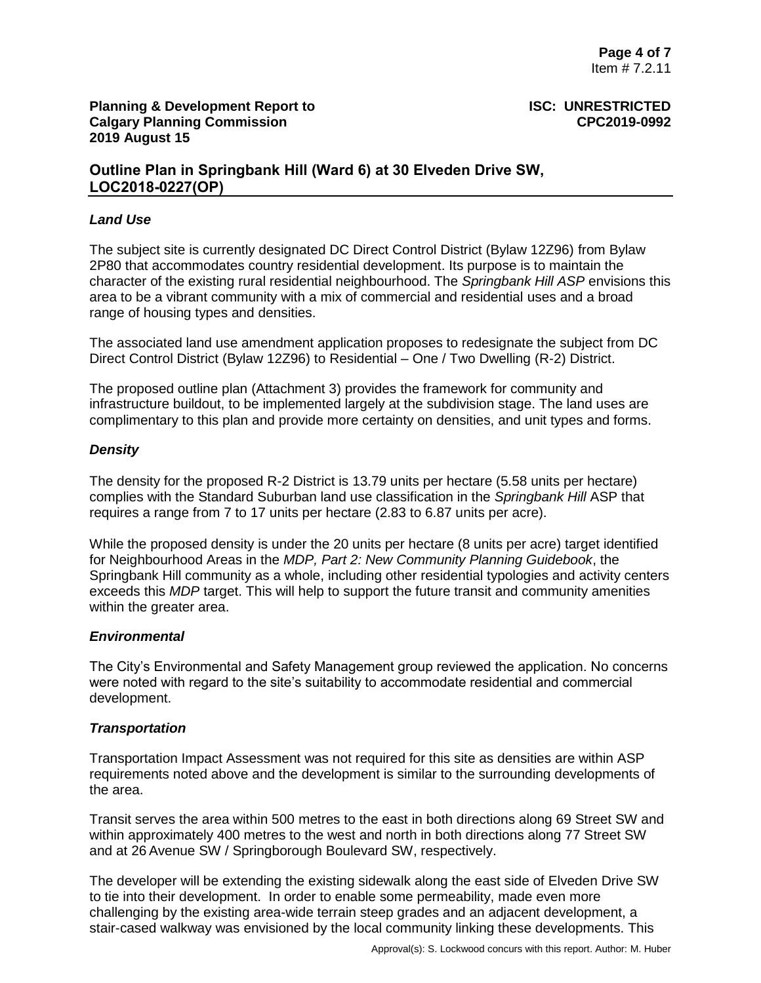# **Outline Plan in Springbank Hill (Ward 6) at 30 Elveden Drive SW, LOC2018-0227(OP)**

### *Land Use*

The subject site is currently designated DC Direct Control District (Bylaw 12Z96) from Bylaw 2P80 that accommodates country residential development. Its purpose is to maintain the character of the existing rural residential neighbourhood. The *Springbank Hill ASP* envisions this area to be a vibrant community with a mix of commercial and residential uses and a broad range of housing types and densities.

The associated land use amendment application proposes to redesignate the subject from DC Direct Control District (Bylaw 12Z96) to Residential – One / Two Dwelling (R-2) District.

The proposed outline plan (Attachment 3) provides the framework for community and infrastructure buildout, to be implemented largely at the subdivision stage. The land uses are complimentary to this plan and provide more certainty on densities, and unit types and forms.

## *Density*

The density for the proposed R-2 District is 13.79 units per hectare (5.58 units per hectare) complies with the Standard Suburban land use classification in the *Springbank Hill* ASP that requires a range from 7 to 17 units per hectare (2.83 to 6.87 units per acre).

While the proposed density is under the 20 units per hectare (8 units per acre) target identified for Neighbourhood Areas in the *MDP, Part 2: New Community Planning Guidebook*, the Springbank Hill community as a whole, including other residential typologies and activity centers exceeds this *MDP* target. This will help to support the future transit and community amenities within the greater area.

### *Environmental*

The City's Environmental and Safety Management group reviewed the application. No concerns were noted with regard to the site's suitability to accommodate residential and commercial development.

### *Transportation*

Transportation Impact Assessment was not required for this site as densities are within ASP requirements noted above and the development is similar to the surrounding developments of the area.

Transit serves the area within 500 metres to the east in both directions along 69 Street SW and within approximately 400 metres to the west and north in both directions along 77 Street SW and at 26 Avenue SW / Springborough Boulevard SW, respectively.

The developer will be extending the existing sidewalk along the east side of Elveden Drive SW to tie into their development. In order to enable some permeability, made even more challenging by the existing area-wide terrain steep grades and an adjacent development, a stair-cased walkway was envisioned by the local community linking these developments. This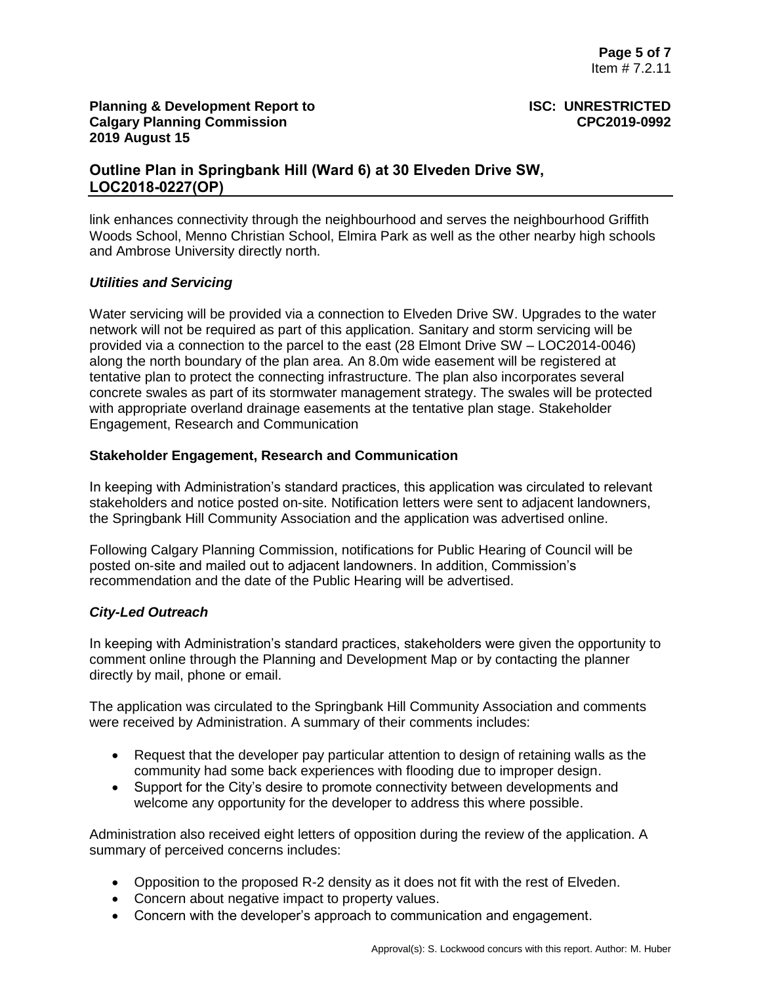# **Outline Plan in Springbank Hill (Ward 6) at 30 Elveden Drive SW, LOC2018-0227(OP)**

link enhances connectivity through the neighbourhood and serves the neighbourhood Griffith Woods School, Menno Christian School, Elmira Park as well as the other nearby high schools and Ambrose University directly north.

# *Utilities and Servicing*

Water servicing will be provided via a connection to Elveden Drive SW. Upgrades to the water network will not be required as part of this application. Sanitary and storm servicing will be provided via a connection to the parcel to the east (28 Elmont Drive SW – LOC2014-0046) along the north boundary of the plan area. An 8.0m wide easement will be registered at tentative plan to protect the connecting infrastructure. The plan also incorporates several concrete swales as part of its stormwater management strategy. The swales will be protected with appropriate overland drainage easements at the tentative plan stage. Stakeholder Engagement, Research and Communication

## **Stakeholder Engagement, Research and Communication**

In keeping with Administration's standard practices, this application was circulated to relevant stakeholders and notice posted on-site. Notification letters were sent to adjacent landowners, the Springbank Hill Community Association and the application was advertised online.

Following Calgary Planning Commission, notifications for Public Hearing of Council will be posted on-site and mailed out to adjacent landowners. In addition, Commission's recommendation and the date of the Public Hearing will be advertised.

# *City-Led Outreach*

In keeping with Administration's standard practices, stakeholders were given the opportunity to comment online through the Planning and Development Map or by contacting the planner directly by mail, phone or email.

The application was circulated to the Springbank Hill Community Association and comments were received by Administration. A summary of their comments includes:

- Request that the developer pay particular attention to design of retaining walls as the community had some back experiences with flooding due to improper design.
- Support for the City's desire to promote connectivity between developments and welcome any opportunity for the developer to address this where possible.

Administration also received eight letters of opposition during the review of the application. A summary of perceived concerns includes:

- Opposition to the proposed R-2 density as it does not fit with the rest of Elveden.
- Concern about negative impact to property values.
- Concern with the developer's approach to communication and engagement.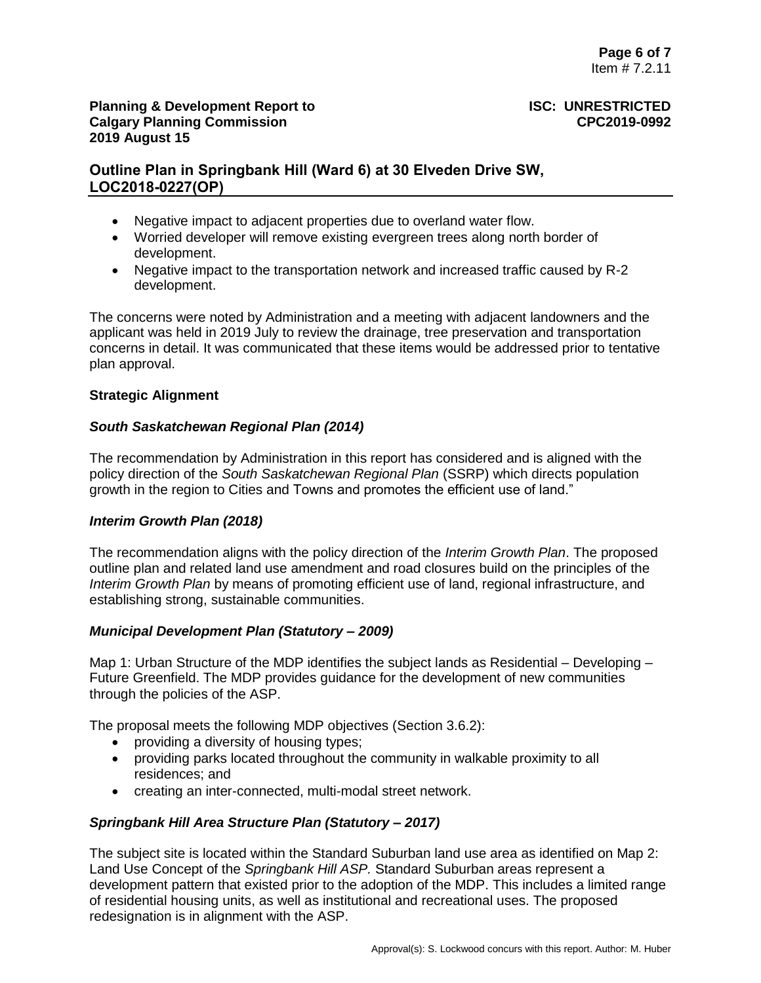# **Outline Plan in Springbank Hill (Ward 6) at 30 Elveden Drive SW, LOC2018-0227(OP)**

- Negative impact to adjacent properties due to overland water flow.
- Worried developer will remove existing evergreen trees along north border of development.
- Negative impact to the transportation network and increased traffic caused by R-2 development.

The concerns were noted by Administration and a meeting with adjacent landowners and the applicant was held in 2019 July to review the drainage, tree preservation and transportation concerns in detail. It was communicated that these items would be addressed prior to tentative plan approval.

## **Strategic Alignment**

## *South Saskatchewan Regional Plan (2014)*

The recommendation by Administration in this report has considered and is aligned with the policy direction of the *South Saskatchewan Regional Plan* (SSRP) which directs population growth in the region to Cities and Towns and promotes the efficient use of land."

### *Interim Growth Plan (2018)*

The recommendation aligns with the policy direction of the *Interim Growth Plan*. The proposed outline plan and related land use amendment and road closures build on the principles of the *Interim Growth Plan* by means of promoting efficient use of land, regional infrastructure, and establishing strong, sustainable communities.

### *Municipal Development Plan (Statutory – 2009)*

Map 1: Urban Structure of the MDP identifies the subject lands as Residential – Developing – Future Greenfield. The MDP provides guidance for the development of new communities through the policies of the ASP.

The proposal meets the following MDP objectives (Section 3.6.2):

- providing a diversity of housing types;
- providing parks located throughout the community in walkable proximity to all residences; and
- creating an inter-connected, multi-modal street network.

# *Springbank Hill Area Structure Plan (Statutory – 2017)*

The subject site is located within the Standard Suburban land use area as identified on Map 2: Land Use Concept of the *Springbank Hill ASP.* Standard Suburban areas represent a development pattern that existed prior to the adoption of the MDP. This includes a limited range of residential housing units, as well as institutional and recreational uses. The proposed redesignation is in alignment with the ASP.